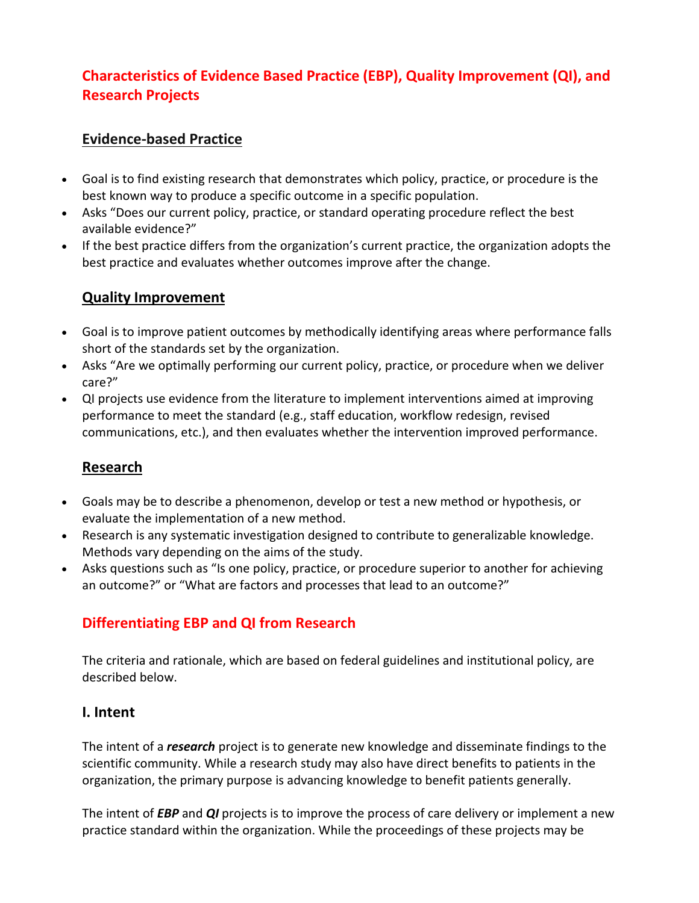# **Characteristics of Evidence Based Practice (EBP), Quality Improvement (QI), and Research Projects**

## **Evidence-based Practice**

- Goal is to find existing research that demonstrates which policy, practice, or procedure is the best known way to produce a specific outcome in a specific population.
- Asks "Does our current policy, practice, or standard operating procedure reflect the best available evidence?"
- If the best practice differs from the organization's current practice, the organization adopts the best practice and evaluates whether outcomes improve after the change.

## **Quality Improvement**

- Goal is to improve patient outcomes by methodically identifying areas where performance falls short of the standards set by the organization.
- Asks "Are we optimally performing our current policy, practice, or procedure when we deliver care?"
- QI projects use evidence from the literature to implement interventions aimed at improving performance to meet the standard (e.g., staff education, workflow redesign, revised communications, etc.), and then evaluates whether the intervention improved performance.

## **Research**

- Goals may be to describe a phenomenon, develop or test a new method or hypothesis, or evaluate the implementation of a new method.
- Research is any systematic investigation designed to contribute to generalizable knowledge. Methods vary depending on the aims of the study.
- Asks questions such as "Is one policy, practice, or procedure superior to another for achieving an outcome?" or "What are factors and processes that lead to an outcome?"

# **Differentiating EBP and QI from Research**

The criteria and rationale, which are based on federal guidelines and institutional policy, are described below.

## **I. Intent**

The intent of a *research* project is to generate new knowledge and disseminate findings to the scientific community. While a research study may also have direct benefits to patients in the organization, the primary purpose is advancing knowledge to benefit patients generally.

The intent of *EBP* and *QI* projects is to improve the process of care delivery or implement a new practice standard within the organization. While the proceedings of these projects may be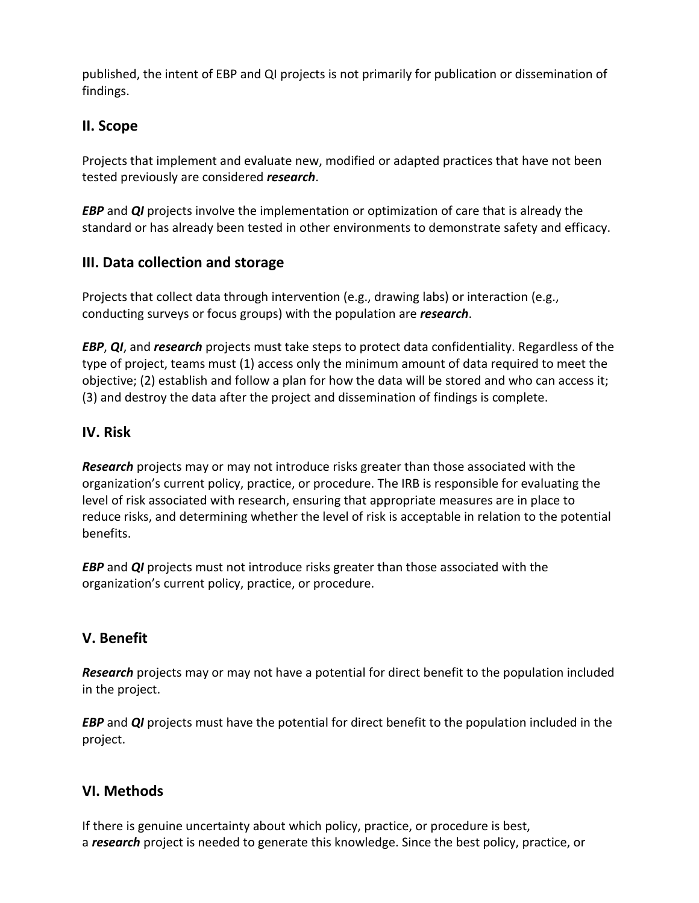published, the intent of EBP and QI projects is not primarily for publication or dissemination of findings.

#### **II. Scope**

Projects that implement and evaluate new, modified or adapted practices that have not been tested previously are considered *research*.

*EBP* and *QI* projects involve the implementation or optimization of care that is already the standard or has already been tested in other environments to demonstrate safety and efficacy.

## **III. Data collection and storage**

Projects that collect data through intervention (e.g., drawing labs) or interaction (e.g., conducting surveys or focus groups) with the population are *research*.

*EBP*, *QI*, and *research* projects must take steps to protect data confidentiality. Regardless of the type of project, teams must (1) access only the minimum amount of data required to meet the objective; (2) establish and follow a plan for how the data will be stored and who can access it; (3) and destroy the data after the project and dissemination of findings is complete.

## **IV. Risk**

*Research* projects may or may not introduce risks greater than those associated with the organization's current policy, practice, or procedure. The IRB is responsible for evaluating the level of risk associated with research, ensuring that appropriate measures are in place to reduce risks, and determining whether the level of risk is acceptable in relation to the potential benefits.

*EBP* and *QI* projects must not introduce risks greater than those associated with the organization's current policy, practice, or procedure.

## **V. Benefit**

*Research* projects may or may not have a potential for direct benefit to the population included in the project.

*EBP* and *QI* projects must have the potential for direct benefit to the population included in the project.

## **VI. Methods**

If there is genuine uncertainty about which policy, practice, or procedure is best, a *research* project is needed to generate this knowledge. Since the best policy, practice, or